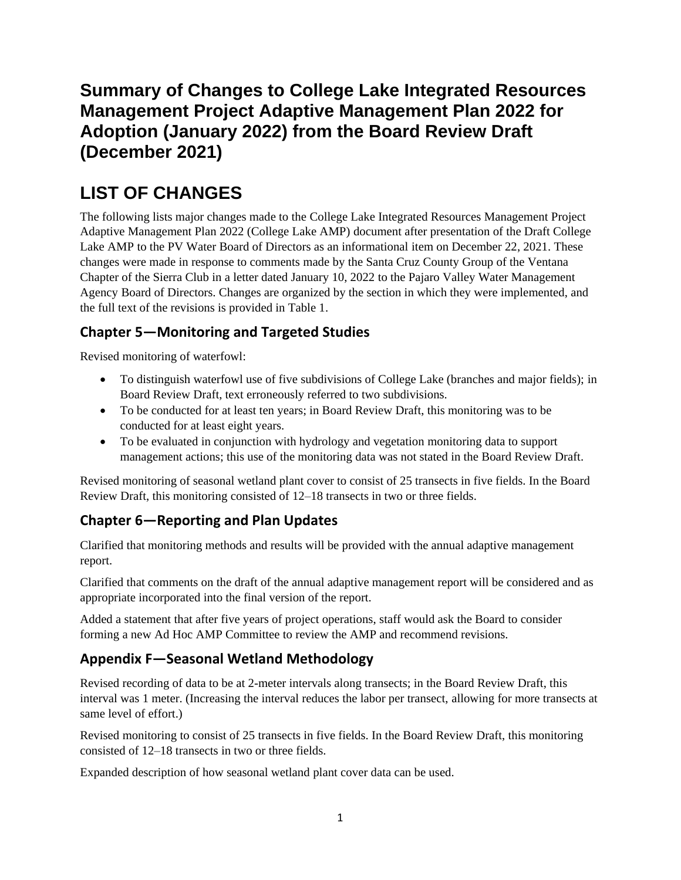## **Summary of Changes to College Lake Integrated Resources Management Project Adaptive Management Plan 2022 for Adoption (January 2022) from the Board Review Draft (December 2021)**

# **LIST OF CHANGES**

The following lists major changes made to the College Lake Integrated Resources Management Project Adaptive Management Plan 2022 (College Lake AMP) document after presentation of the Draft College Lake AMP to the PV Water Board of Directors as an informational item on December 22, 2021. These changes were made in response to comments made by the Santa Cruz County Group of the Ventana Chapter of the Sierra Club in a letter dated January 10, 2022 to the Pajaro Valley Water Management Agency Board of Directors. Changes are organized by the section in which they were implemented, and the full text of the revisions is provided in Table 1.

#### **Chapter 5―Monitoring and Targeted Studies**

Revised monitoring of waterfowl:

- To distinguish waterfowl use of five subdivisions of College Lake (branches and major fields); in Board Review Draft, text erroneously referred to two subdivisions.
- To be conducted for at least ten years; in Board Review Draft, this monitoring was to be conducted for at least eight years.
- To be evaluated in conjunction with hydrology and vegetation monitoring data to support management actions; this use of the monitoring data was not stated in the Board Review Draft.

Revised monitoring of seasonal wetland plant cover to consist of 25 transects in five fields. In the Board Review Draft, this monitoring consisted of 12–18 transects in two or three fields.

## **Chapter 6―Reporting and Plan Updates**

Clarified that monitoring methods and results will be provided with the annual adaptive management report.

Clarified that comments on the draft of the annual adaptive management report will be considered and as appropriate incorporated into the final version of the report.

Added a statement that after five years of project operations, staff would ask the Board to consider forming a new Ad Hoc AMP Committee to review the AMP and recommend revisions.

### **Appendix F―Seasonal Wetland Methodology**

Revised recording of data to be at 2-meter intervals along transects; in the Board Review Draft, this interval was 1 meter. (Increasing the interval reduces the labor per transect, allowing for more transects at same level of effort.)

Revised monitoring to consist of 25 transects in five fields. In the Board Review Draft, this monitoring consisted of 12–18 transects in two or three fields.

Expanded description of how seasonal wetland plant cover data can be used.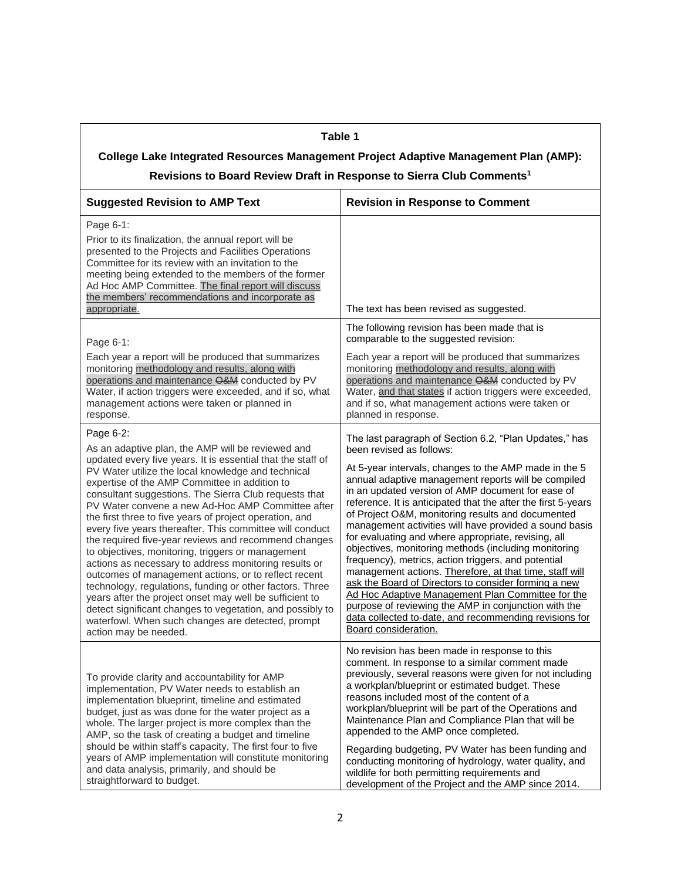## **Table 1**

## **College Lake Integrated Resources Management Project Adaptive Management Plan (AMP):**

| <b>Suggested Revision to AMP Text</b>                                                                                                                                                                                                                                                                                                                                                                                                                                                                                                                                                                                                                                                                                                                                                                                                                                                                                                                                     | <b>Revision in Response to Comment</b>                                                                                                                                                                                                                                                                                                                                                                                                                                                                                                                                                                                                                                                                                                                                                                                                                                                                                          |
|---------------------------------------------------------------------------------------------------------------------------------------------------------------------------------------------------------------------------------------------------------------------------------------------------------------------------------------------------------------------------------------------------------------------------------------------------------------------------------------------------------------------------------------------------------------------------------------------------------------------------------------------------------------------------------------------------------------------------------------------------------------------------------------------------------------------------------------------------------------------------------------------------------------------------------------------------------------------------|---------------------------------------------------------------------------------------------------------------------------------------------------------------------------------------------------------------------------------------------------------------------------------------------------------------------------------------------------------------------------------------------------------------------------------------------------------------------------------------------------------------------------------------------------------------------------------------------------------------------------------------------------------------------------------------------------------------------------------------------------------------------------------------------------------------------------------------------------------------------------------------------------------------------------------|
| Page 6-1:<br>Prior to its finalization, the annual report will be<br>presented to the Projects and Facilities Operations<br>Committee for its review with an invitation to the<br>meeting being extended to the members of the former<br>Ad Hoc AMP Committee. The final report will discuss<br>the members' recommendations and incorporate as<br>appropriate.                                                                                                                                                                                                                                                                                                                                                                                                                                                                                                                                                                                                           | The text has been revised as suggested.                                                                                                                                                                                                                                                                                                                                                                                                                                                                                                                                                                                                                                                                                                                                                                                                                                                                                         |
| Page 6-1:                                                                                                                                                                                                                                                                                                                                                                                                                                                                                                                                                                                                                                                                                                                                                                                                                                                                                                                                                                 | The following revision has been made that is<br>comparable to the suggested revision:                                                                                                                                                                                                                                                                                                                                                                                                                                                                                                                                                                                                                                                                                                                                                                                                                                           |
| Each year a report will be produced that summarizes<br>monitoring methodology and results, along with<br>operations and maintenance O&M conducted by PV<br>Water, if action triggers were exceeded, and if so, what<br>management actions were taken or planned in<br>response.                                                                                                                                                                                                                                                                                                                                                                                                                                                                                                                                                                                                                                                                                           | Each year a report will be produced that summarizes<br>monitoring methodology and results, along with<br>operations and maintenance O&M conducted by PV<br>Water, and that states if action triggers were exceeded,<br>and if so, what management actions were taken or<br>planned in response.                                                                                                                                                                                                                                                                                                                                                                                                                                                                                                                                                                                                                                 |
| Page 6-2:<br>As an adaptive plan, the AMP will be reviewed and<br>updated every five years. It is essential that the staff of<br>PV Water utilize the local knowledge and technical<br>expertise of the AMP Committee in addition to<br>consultant suggestions. The Sierra Club requests that<br>PV Water convene a new Ad-Hoc AMP Committee after<br>the first three to five years of project operation, and<br>every five years thereafter. This committee will conduct<br>the required five-year reviews and recommend changes<br>to objectives, monitoring, triggers or management<br>actions as necessary to address monitoring results or<br>outcomes of management actions, or to reflect recent<br>technology, regulations, funding or other factors. Three<br>years after the project onset may well be sufficient to<br>detect significant changes to vegetation, and possibly to<br>waterfowl. When such changes are detected, prompt<br>action may be needed. | The last paragraph of Section 6.2, "Plan Updates," has<br>been revised as follows:<br>At 5-year intervals, changes to the AMP made in the 5<br>annual adaptive management reports will be compiled<br>in an updated version of AMP document for ease of<br>reference. It is anticipated that the after the first 5-years<br>of Project O&M, monitoring results and documented<br>management activities will have provided a sound basis<br>for evaluating and where appropriate, revising, all<br>objectives, monitoring methods (including monitoring<br>frequency), metrics, action triggers, and potential<br>management actions. Therefore, at that time, staff will<br>ask the Board of Directors to consider forming a new<br>Ad Hoc Adaptive Management Plan Committee for the<br>purpose of reviewing the AMP in conjunction with the<br>data collected to-date, and recommending revisions for<br>Board consideration. |
| To provide clarity and accountability for AMP<br>implementation, PV Water needs to establish an<br>implementation blueprint, timeline and estimated<br>budget, just as was done for the water project as a<br>whole. The larger project is more complex than the<br>AMP, so the task of creating a budget and timeline<br>should be within staff's capacity. The first four to five<br>years of AMP implementation will constitute monitoring<br>and data analysis, primarily, and should be<br>straightforward to budget.                                                                                                                                                                                                                                                                                                                                                                                                                                                | No revision has been made in response to this<br>comment. In response to a similar comment made<br>previously, several reasons were given for not including<br>a workplan/blueprint or estimated budget. These<br>reasons included most of the content of a<br>workplan/blueprint will be part of the Operations and<br>Maintenance Plan and Compliance Plan that will be<br>appended to the AMP once completed.<br>Regarding budgeting, PV Water has been funding and<br>conducting monitoring of hydrology, water quality, and<br>wildlife for both permitting requirements and<br>development of the Project and the AMP since 2014.                                                                                                                                                                                                                                                                                         |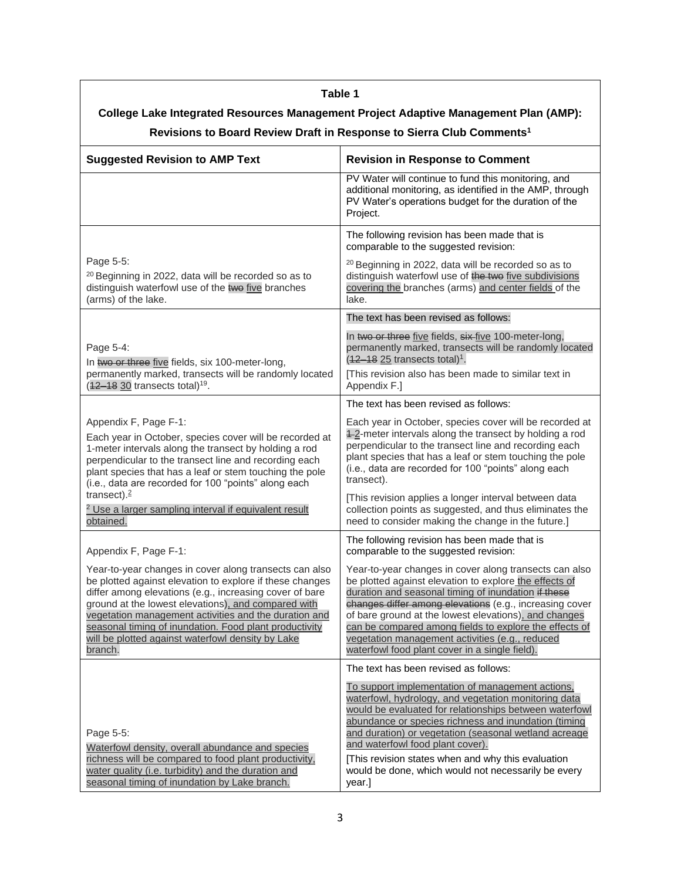| Table 1                                                                                                                                                                                                                                                                                                                                                                                                                 |                                                                                                                                                                                                                                                                                                                                                                                                                                                            |
|-------------------------------------------------------------------------------------------------------------------------------------------------------------------------------------------------------------------------------------------------------------------------------------------------------------------------------------------------------------------------------------------------------------------------|------------------------------------------------------------------------------------------------------------------------------------------------------------------------------------------------------------------------------------------------------------------------------------------------------------------------------------------------------------------------------------------------------------------------------------------------------------|
| College Lake Integrated Resources Management Project Adaptive Management Plan (AMP):<br>Revisions to Board Review Draft in Response to Sierra Club Comments <sup>1</sup>                                                                                                                                                                                                                                                |                                                                                                                                                                                                                                                                                                                                                                                                                                                            |
| <b>Suggested Revision to AMP Text</b>                                                                                                                                                                                                                                                                                                                                                                                   | <b>Revision in Response to Comment</b>                                                                                                                                                                                                                                                                                                                                                                                                                     |
|                                                                                                                                                                                                                                                                                                                                                                                                                         | PV Water will continue to fund this monitoring, and<br>additional monitoring, as identified in the AMP, through<br>PV Water's operations budget for the duration of the<br>Project.                                                                                                                                                                                                                                                                        |
|                                                                                                                                                                                                                                                                                                                                                                                                                         | The following revision has been made that is<br>comparable to the suggested revision:                                                                                                                                                                                                                                                                                                                                                                      |
| Page 5-5:<br><sup>20</sup> Beginning in 2022, data will be recorded so as to<br>distinguish waterfowl use of the twe five branches<br>(arms) of the lake.                                                                                                                                                                                                                                                               | <sup>20</sup> Beginning in 2022, data will be recorded so as to<br>distinguish waterfowl use of the two five subdivisions<br>covering the branches (arms) and center fields of the<br>lake.                                                                                                                                                                                                                                                                |
|                                                                                                                                                                                                                                                                                                                                                                                                                         | The text has been revised as follows:                                                                                                                                                                                                                                                                                                                                                                                                                      |
| Page 5-4:<br>In two or three five fields, six 100-meter-long,                                                                                                                                                                                                                                                                                                                                                           | In two or three five fields, six-five 100-meter-long,<br>permanently marked, transects will be randomly located<br>$(12-1825)$ transects total) <sup>1</sup> .                                                                                                                                                                                                                                                                                             |
| permanently marked, transects will be randomly located<br>$(42 - 18 \cdot 30$ transects total) <sup>19</sup> .                                                                                                                                                                                                                                                                                                          | [This revision also has been made to similar text in<br>Appendix F.]                                                                                                                                                                                                                                                                                                                                                                                       |
|                                                                                                                                                                                                                                                                                                                                                                                                                         | The text has been revised as follows:                                                                                                                                                                                                                                                                                                                                                                                                                      |
| Appendix F, Page F-1:<br>Each year in October, species cover will be recorded at<br>1-meter intervals along the transect by holding a rod<br>perpendicular to the transect line and recording each<br>plant species that has a leaf or stem touching the pole<br>(i.e., data are recorded for 100 "points" along each                                                                                                   | Each year in October, species cover will be recorded at<br>4-2-meter intervals along the transect by holding a rod<br>perpendicular to the transect line and recording each<br>plant species that has a leaf or stem touching the pole<br>(i.e., data are recorded for 100 "points" along each<br>transect).                                                                                                                                               |
| transect). $2$<br><sup>2</sup> Use a larger sampling interval if equivalent result<br>obtained.                                                                                                                                                                                                                                                                                                                         | [This revision applies a longer interval between data<br>collection points as suggested, and thus eliminates the<br>need to consider making the change in the future.]                                                                                                                                                                                                                                                                                     |
| Appendix F, Page F-1:                                                                                                                                                                                                                                                                                                                                                                                                   | The following revision has been made that is<br>comparable to the suggested revision:                                                                                                                                                                                                                                                                                                                                                                      |
| Year-to-year changes in cover along transects can also<br>be plotted against elevation to explore if these changes<br>differ among elevations (e.g., increasing cover of bare<br>ground at the lowest elevations), and compared with<br>vegetation management activities and the duration and<br>seasonal timing of inundation. Food plant productivity<br>will be plotted against waterfowl density by Lake<br>branch. | Year-to-year changes in cover along transects can also<br>be plotted against elevation to explore the effects of<br>duration and seasonal timing of inundation if these<br>changes differ among elevations (e.g., increasing cover<br>of bare ground at the lowest elevations), and changes<br>can be compared among fields to explore the effects of<br>vegetation management activities (e.g., reduced<br>waterfowl food plant cover in a single field). |
|                                                                                                                                                                                                                                                                                                                                                                                                                         | The text has been revised as follows:                                                                                                                                                                                                                                                                                                                                                                                                                      |
| Page 5-5:<br>Waterfowl density, overall abundance and species<br>richness will be compared to food plant productivity,<br>water quality (i.e. turbidity) and the duration and                                                                                                                                                                                                                                           | To support implementation of management actions,<br>waterfowl, hydrology, and vegetation monitoring data<br>would be evaluated for relationships between waterfowl<br>abundance or species richness and inundation (timing<br>and duration) or vegetation (seasonal wetland acreage<br>and waterfowl food plant cover).<br>[This revision states when and why this evaluation<br>would be done, which would not necessarily be every                       |
| seasonal timing of inundation by Lake branch.                                                                                                                                                                                                                                                                                                                                                                           | year.]                                                                                                                                                                                                                                                                                                                                                                                                                                                     |